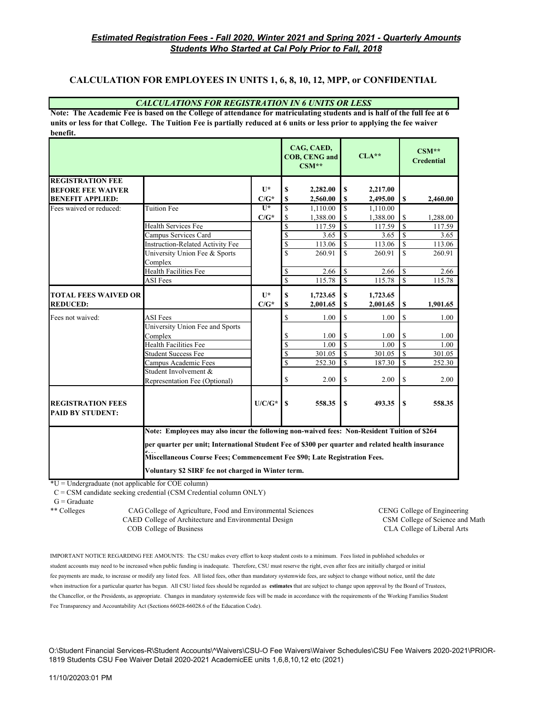### **CALCULATION FOR EMPLOYEES IN UNITS 1, 6, 8, 10, 12, MPP, or CONFIDENTIAL**

#### *CALCULATIONS FOR REGISTRATION IN 6 UNITS OR LESS*

**Note: The Academic Fee is based on the College of attendance for matriculating students and is half of the full fee at 6 units or less for that College. The Tuition Fee is partially reduced at 6 units or less prior to applying the fee waiver benefit.**

|                                                     |                                                                                                                                                                                                  |                |                         | CAG, CAED,<br><b>COB, CENG and</b><br>$CSM**$ |                         | $CLA***$ |                    | $CSM**$<br><b>Credential</b> |
|-----------------------------------------------------|--------------------------------------------------------------------------------------------------------------------------------------------------------------------------------------------------|----------------|-------------------------|-----------------------------------------------|-------------------------|----------|--------------------|------------------------------|
| <b>REGISTRATION FEE</b>                             |                                                                                                                                                                                                  |                |                         |                                               |                         |          |                    |                              |
| <b>BEFORE FEE WAIVER</b>                            |                                                                                                                                                                                                  | $\mathbf{U}^*$ | \$                      | 2,282.00                                      | S                       | 2,217.00 |                    |                              |
| <b>BENEFIT APPLIED:</b>                             |                                                                                                                                                                                                  | $C/G^*$        | S                       | 2,560.00                                      | \$                      | 2,495.00 | S                  | 2,460.00                     |
| Fees waived or reduced:                             | Tuition Fee                                                                                                                                                                                      | $\overline{1}$ | \$                      | 1,110.00                                      | $\mathbf S$             | 1,110.00 |                    |                              |
|                                                     |                                                                                                                                                                                                  | $C/G^*$        | \$                      | 1,388.00                                      | \$                      | 1,388.00 | \$                 | 1,288.00                     |
|                                                     | Health Services Fee                                                                                                                                                                              |                | \$                      | 117.59                                        | $\mathbf S$             | 117.59   | $\mathbf S$        | 117.59                       |
|                                                     | Campus Services Card                                                                                                                                                                             |                | \$                      | 3.65                                          | $\mathbf S$             | 3.65     | \$                 | 3.65                         |
|                                                     | Instruction-Related Activity Fee                                                                                                                                                                 |                | \$                      | 113.06                                        | \$                      | 113.06   | <sup>\$</sup>      | 113.06                       |
|                                                     | University Union Fee & Sports<br>Complex                                                                                                                                                         |                | \$                      | 260.91                                        | $\mathbf{\hat{s}}$      | 260.91   | $\mathbf S$        | 260.91                       |
|                                                     | Health Facilities Fee                                                                                                                                                                            |                | \$                      | 2.66                                          | $\mathbf S$             | 2.66     | <sup>\$</sup>      | 2.66                         |
|                                                     | <b>ASI</b> Fees                                                                                                                                                                                  |                | $\overline{\mathbb{S}}$ | 115.78                                        | \$                      | 115.78   | <sup>\$</sup>      | 115.78                       |
| <b>TOTAL FEES WAIVED OR</b>                         |                                                                                                                                                                                                  | $II*$          | \$                      | 1,723.65                                      | \$                      | 1,723.65 |                    |                              |
| <b>REDUCED:</b>                                     |                                                                                                                                                                                                  | $C/G^*$        | S                       | 2,001.65                                      | \$                      | 2,001.65 | \$                 | 1,901.65                     |
| Fees not waived:                                    | <b>ASI</b> Fees                                                                                                                                                                                  |                | \$                      | 1.00                                          | $\mathbf S$             | 1.00     | \$                 | 1.00                         |
|                                                     | University Union Fee and Sports                                                                                                                                                                  |                |                         |                                               |                         |          |                    |                              |
|                                                     | Complex                                                                                                                                                                                          |                | \$                      | 1.00                                          | \$                      | 1.00     | \$                 | 1.00                         |
|                                                     | <b>Health Facilities Fee</b>                                                                                                                                                                     |                | $\overline{\mathbf{S}}$ | 1.00                                          | $\overline{\mathbf{S}}$ | 1.00     | $\hat{\mathbf{S}}$ | 1.00                         |
|                                                     | <b>Student Success Fee</b>                                                                                                                                                                       |                | \$                      | 301.05                                        | $\mathbf S$             | 301.05   | $\mathbf S$        | 301.05                       |
|                                                     | Campus Academic Fees                                                                                                                                                                             |                | \$                      | 252.30                                        | $\overline{\mathbf{s}}$ | 187.30   | $\mathbb{S}$       | 252.30                       |
|                                                     | Student Involvement &                                                                                                                                                                            |                |                         |                                               |                         |          |                    |                              |
|                                                     | Representation Fee (Optional)                                                                                                                                                                    |                | \$                      | 2.00                                          | \$                      | 2.00     | S                  | 2.00                         |
| <b>REGISTRATION FEES</b><br><b>PAID BY STUDENT:</b> |                                                                                                                                                                                                  | $U/C/G^*$      | $\mathbf S$             | 558.35                                        | $\mathbf{s}$            | 493.35   | S                  | 558.35                       |
|                                                     | Note: Employees may also incur the following non-waived fees: Non-Resident Tuition of \$264                                                                                                      |                |                         |                                               |                         |          |                    |                              |
|                                                     | per quarter per unit; International Student Fee of \$300 per quarter and related health insurance<br>$\mathbf{r}$ .<br>Miscellaneous Course Fees; Commencement Fee \$90; Late Registration Fees. |                |                         |                                               |                         |          |                    |                              |
|                                                     |                                                                                                                                                                                                  |                |                         |                                               |                         |          |                    |                              |
|                                                     | Voluntary \$2 SIRF fee not charged in Winter term.                                                                                                                                               |                |                         |                                               |                         |          |                    |                              |

 $*U =$ Undergraduate (not applicable for COE column)

C = CSM candidate seeking credential (CSM Credential column ONLY)

\*\* Colleges CAG College of Agriculture, Food and Environmental Sciences CENG College of Engineering CAED College of Architecture and Environmental Design CSM College of Science and Math COB College of Business CLA College of Liberal Arts

IMPORTANT NOTICE REGARDING FEE AMOUNTS: The CSU makes every effort to keep student costs to a minimum. Fees listed in published schedules or student accounts may need to be increased when public funding is inadequate. Therefore, CSU must reserve the right, even after fees are initially charged or initial fee payments are made, to increase or modify any listed fees. All listed fees, other than mandatory systemwide fees, are subject to change without notice, until the date when instruction for a particular quarter has begun. All CSU listed fees should be regarded as **estimates** that are subject to change upon approval by the Board of Trustees, the Chancellor, or the Presidents, as appropriate. Changes in mandatory systemwide fees will be made in accordance with the requirements of the Working Families Student Fee Transparency and Accountability Act (Sections 66028-66028.6 of the Education Code).

O:\Student Financial Services-R\Student Accounts\^Waivers\CSU-O Fee Waivers\Waiver Schedules\CSU Fee Waivers 2020-2021\PRIOR-1819 Students CSU Fee Waiver Detail 2020-2021 AcademicEE units 1,6,8,10,12 etc (2021)

 $G =$ Graduate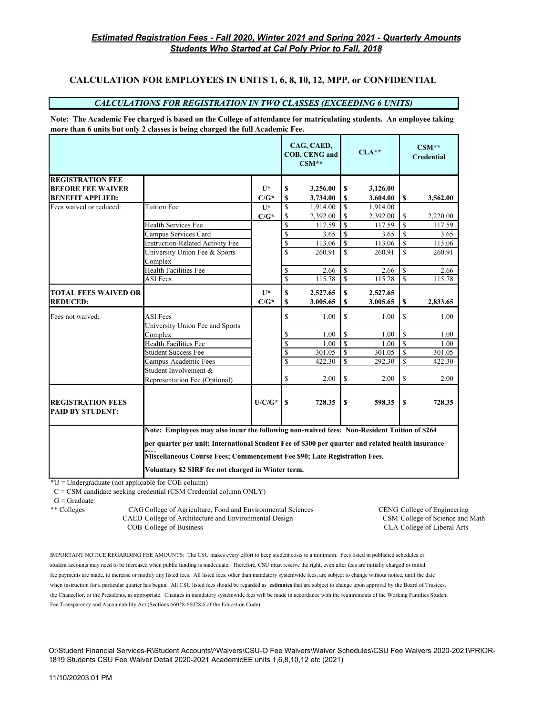# **CALCULATION FOR EMPLOYEES IN UNITS 1, 6, 8, 10, 12, MPP, or CONFIDENTIAL**

#### *CALCULATIONS FOR REGISTRATION IN TWO CLASSES (EXCEEDING 6 UNITS)*

**Note: The Academic Fee charged is based on the College of attendance for matriculating students. An employee taking more than 6 units but only 2 classes is being charged the full Academic Fee.**

|                                                     |                                                                                                                                                                                |                |                         | CAG, CAED,<br><b>COB, CENG and</b><br>$CSM**$ |                         | $CLA***$ |                    | $CSM**$<br><b>Credential</b> |
|-----------------------------------------------------|--------------------------------------------------------------------------------------------------------------------------------------------------------------------------------|----------------|-------------------------|-----------------------------------------------|-------------------------|----------|--------------------|------------------------------|
| <b>REGISTRATION FEE</b>                             |                                                                                                                                                                                |                |                         |                                               |                         |          |                    |                              |
| <b>BEFORE FEE WAIVER</b>                            |                                                                                                                                                                                | $\mathbf{U}^*$ | \$                      | 3,256.00                                      | \$                      | 3,126.00 |                    |                              |
| <b>BENEFIT APPLIED:</b>                             |                                                                                                                                                                                | $C/G^*$        | \$                      | 3,734.00                                      | \$                      | 3,604.00 | S                  | 3,562.00                     |
| Fees waived or reduced:                             | Tuition Fee                                                                                                                                                                    | $\mathbf{U}^*$ | S                       | 1,914.00                                      | \$                      | 1,914.00 |                    |                              |
|                                                     |                                                                                                                                                                                | $C/G^*$        | \$                      | 2,392.00                                      | \$                      | 2,392.00 | \$                 | 2,220.00                     |
|                                                     | <b>Health Services Fee</b>                                                                                                                                                     |                | \$                      | 117.59                                        | \$                      | 117.59   | $\mathbf{\hat{S}}$ | 117.59                       |
|                                                     | Campus Services Card                                                                                                                                                           |                | \$                      | 3.65                                          | $\mathbf S$             | 3.65     | \$                 | 3.65                         |
|                                                     | <b>Instruction-Related Activity Fee</b>                                                                                                                                        |                | \$                      | 113.06                                        | \$                      | 113.06   | \$                 | 113.06                       |
|                                                     | University Union Fee & Sports                                                                                                                                                  |                | $\mathbf{s}$            | 260.91                                        | $\mathbf S$             | 260.91   | \$                 | 260.91                       |
|                                                     | Complex                                                                                                                                                                        |                |                         |                                               |                         |          |                    |                              |
|                                                     | Health Facilities Fee                                                                                                                                                          |                | \$                      | 2.66                                          | \$                      | 2.66     | $\mathbf S$        | 2.66                         |
|                                                     | <b>ASI</b> Fees                                                                                                                                                                |                | $\overline{\mathbb{S}}$ | 115.78                                        | $\overline{\mathbb{S}}$ | 115.78   | $\mathbf S$        | 115.78                       |
| <b>TOTAL FEES WAIVED OR</b>                         |                                                                                                                                                                                | $\mathbf{U}^*$ | \$                      | 2,527.65                                      | \$                      | 2,527.65 |                    |                              |
| <b>REDUCED:</b>                                     |                                                                                                                                                                                | $C/G^*$        | $\mathbf S$             | 3,005.65                                      | \$                      | 3,005.65 | \$                 | 2,833.65                     |
| Fees not waived:                                    | <b>ASI</b> Fees                                                                                                                                                                |                | \$                      | 1.00                                          | S                       | 1.00     | \$                 | 1.00                         |
|                                                     | University Union Fee and Sports                                                                                                                                                |                |                         |                                               |                         |          |                    |                              |
|                                                     | Complex                                                                                                                                                                        |                | \$                      | 1.00                                          | \$                      | 1.00     | \$                 | 1.00                         |
|                                                     | Health Facilities Fee                                                                                                                                                          |                | \$                      | 1.00                                          | $\mathbf S$             | 1.00     | \$                 | 1.00                         |
|                                                     | <b>Student Success Fee</b>                                                                                                                                                     |                | \$                      | 301.05                                        | $\mathbf S$             | 301.05   | \$                 | 301.05                       |
|                                                     | Campus Academic Fees                                                                                                                                                           |                | S                       | 422.30                                        | $\mathbf S$             | 292.30   | \$.                | 422.30                       |
|                                                     | Student Involvement &                                                                                                                                                          |                |                         |                                               |                         |          |                    |                              |
|                                                     | Representation Fee (Optional)                                                                                                                                                  |                | \$                      | 2.00                                          | \$                      | 2.00     | \$                 | 2.00                         |
| <b>REGISTRATION FEES</b><br><b>PAID BY STUDENT:</b> |                                                                                                                                                                                | $U/C/G^*$      | S                       | 728.35                                        | S                       | 598.35   | S                  | 728.35                       |
|                                                     | Note: Employees may also incur the following non-waived fees: Non-Resident Tuition of \$264                                                                                    |                |                         |                                               |                         |          |                    |                              |
|                                                     | per quarter per unit; International Student Fee of \$300 per quarter and related health insurance<br>Miscellaneous Course Fees; Commencement Fee \$90; Late Registration Fees. |                |                         |                                               |                         |          |                    |                              |
| Voluntary \$2 SIRF fee not charged in Winter term.  |                                                                                                                                                                                |                |                         |                                               |                         |          |                    |                              |

\*U = Undergraduate (not applicable for COE column)

C = CSM candidate seeking credential (CSM Credential column ONLY)

 $G =$  Graduate

\*\* Colleges CAG College of Agriculture, Food and Environmental Sciences CENG College of Engineering CAED College of Architecture and Environmental Design CSM College of Science and Math COB College of Business CLA College of Liberal Arts

IMPORTANT NOTICE REGARDING FEE AMOUNTS: The CSU makes every effort to keep student costs to a minimum. Fees listed in published schedules or student accounts may need to be increased when public funding is inadequate. Therefore, CSU must reserve the right, even after fees are initially charged or initial fee payments are made, to increase or modify any listed fees. All listed fees, other than mandatory systemwide fees, are subject to change without notice, until the date when instruction for a particular quarter has begun. All CSU listed fees should be regarded as **estimates** that are subject to change upon approval by the Board of Trustees, the Chancellor, or the Presidents, as appropriate. Changes in mandatory systemwide fees will be made in accordance with the requirements of the Working Families Student Fee Transparency and Accountability Act (Sections 66028-66028.6 of the Education Code).

O:\Student Financial Services-R\Student Accounts\^Waivers\CSU-O Fee Waivers\Waiver Schedules\CSU Fee Waivers 2020-2021\PRIOR-1819 Students CSU Fee Waiver Detail 2020-2021 AcademicEE units 1,6,8,10,12 etc (2021)